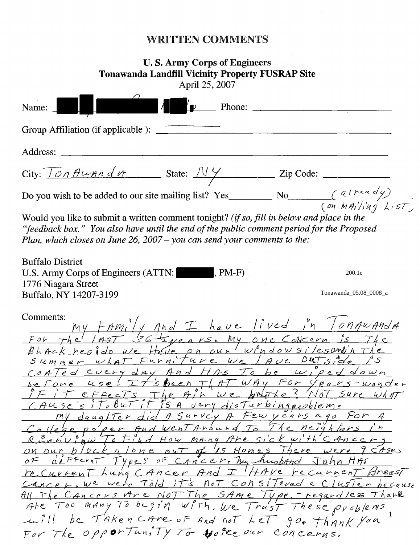## WRITTEN COMMENTS

## **U. S. Army Corps of Engineers Tonawanda Landfill Vicinity Property FUSRAP Site**  April 25, 2007

| Phone: $\qquad \qquad$<br>Name:                                                                                                                                                                                                                                                                                                                                                                                                                                                                                                                                                                                                                                                                                                                                                                                                       |
|---------------------------------------------------------------------------------------------------------------------------------------------------------------------------------------------------------------------------------------------------------------------------------------------------------------------------------------------------------------------------------------------------------------------------------------------------------------------------------------------------------------------------------------------------------------------------------------------------------------------------------------------------------------------------------------------------------------------------------------------------------------------------------------------------------------------------------------|
|                                                                                                                                                                                                                                                                                                                                                                                                                                                                                                                                                                                                                                                                                                                                                                                                                                       |
| Address:                                                                                                                                                                                                                                                                                                                                                                                                                                                                                                                                                                                                                                                                                                                                                                                                                              |
|                                                                                                                                                                                                                                                                                                                                                                                                                                                                                                                                                                                                                                                                                                                                                                                                                                       |
| Do you wish to be added to our site mailing list? Yes No $\left(\begin{array}{cc} a/r & a & d' \\ (p_1 & h n_1 l / i n_1 g & k_1 s T \end{array}\right)$                                                                                                                                                                                                                                                                                                                                                                                                                                                                                                                                                                                                                                                                              |
| Would you like to submit a written comment tonight? (if so, fill in below and place in the<br>"feedback box." You also have until the end of the public comment period for the Proposed<br>Plan, which closes on June 26, $2007 - you$ can send your comments to the:                                                                                                                                                                                                                                                                                                                                                                                                                                                                                                                                                                 |
| <b>Buffalo District</b><br>$, PM-F)$<br>U.S. Army Corps of Engineers (ATTN:<br>200.1e<br>1776 Niagara Street                                                                                                                                                                                                                                                                                                                                                                                                                                                                                                                                                                                                                                                                                                                          |
| Tonawanda_05.08_0008_a<br>Buffalo, NY 14207-3199                                                                                                                                                                                                                                                                                                                                                                                                                                                                                                                                                                                                                                                                                                                                                                                      |
| Comments:<br>umments.<br>For the last schere are My one Concern is The<br>Bhack reside we Have on our windowsilesand'n The<br>Summer what Furniture we A Ave Dutside<br>offed cucry day And HAS To be wiped down<br>be Fone use! It's been That WAY For Years-wonder<br>IF it effects The AIR we breake? Not sure what<br>CAUSe's its but it is a very disturbing problem.<br>Revenueur To Find How many Are sick with CANCERY<br>On our block a lone out of 15 Homes There were 9 CASes<br>OF defferant Types of CANCER, hy husband John HAS<br>recurrent Lung CANCER And I HAVE Fecurient Breast<br>Cancer. We were Told it's not Consitered a Cluster because<br>All The Cancers Are Not The SAME Type - regardles There<br>Are Too many To begin with, We Trust These problems<br>will be TAKEN CARE OF And not LET goo thank you |
| For The opportunity To More our concerns.                                                                                                                                                                                                                                                                                                                                                                                                                                                                                                                                                                                                                                                                                                                                                                                             |